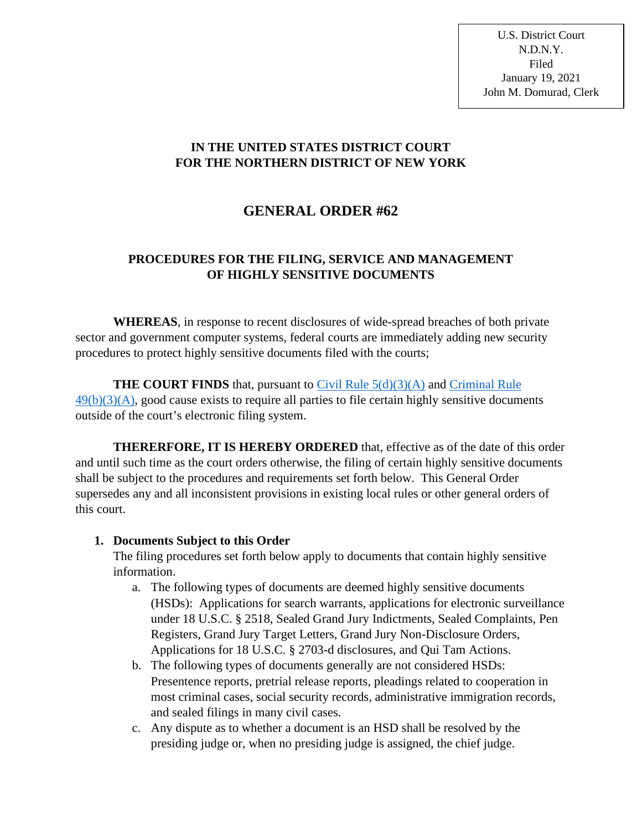U.S. District Court N.D.N.Y. Filed January 19, 2021 John M. Domurad, Clerk

#### **IN THE UNITED STATES DISTRICT COURT FOR THE NORTHERN DISTRICT OF NEW YORK**

# **GENERAL ORDER #62**

## **PROCEDURES FOR THE FILING, SERVICE AND MANAGEMENT OF HIGHLY SENSITIVE DOCUMENTS**

**WHEREAS**, in response to recent disclosures of wide-spread breaches of both private sector and government computer systems, federal courts are immediately adding new security procedures to protect highly sensitive documents filed with the courts;

**THE COURT FINDS** that, pursuant to Civil Rule  $5(d)(3)(A)$  and Criminal Rule  $49(b)(3)(A)$ , good cause exists to require all parties to file certain highly sensitive documents outside of the court's electronic filing system.

**THERERFORE, IT IS HEREBY ORDERED** that, effective as of the date of this order and until such time as the court orders otherwise, the filing of certain highly sensitive documents shall be subject to the procedures and requirements set forth below. This General Order supersedes any and all inconsistent provisions in existing local rules or other general orders of this court.

#### **1. Documents Subject to this Order**

The filing procedures set forth below apply to documents that contain highly sensitive information.

- a. The following types of documents are deemed highly sensitive documents (HSDs): Applications for search warrants, applications for electronic surveillance under 18 U.S.C. § 2518, Sealed Grand Jury Indictments, Sealed Complaints, Pen Registers, Grand Jury Target Letters, Grand Jury Non-Disclosure Orders, Applications for 18 U.S.C. § 2703-d disclosures, and Qui Tam Actions.
- b. The following types of documents generally are not considered HSDs: Presentence reports, pretrial release reports, pleadings related to cooperation in most criminal cases, social security records, administrative immigration records, and sealed filings in many civil cases.
- c. Any dispute as to whether a document is an HSD shall be resolved by the presiding judge or, when no presiding judge is assigned, the chief judge.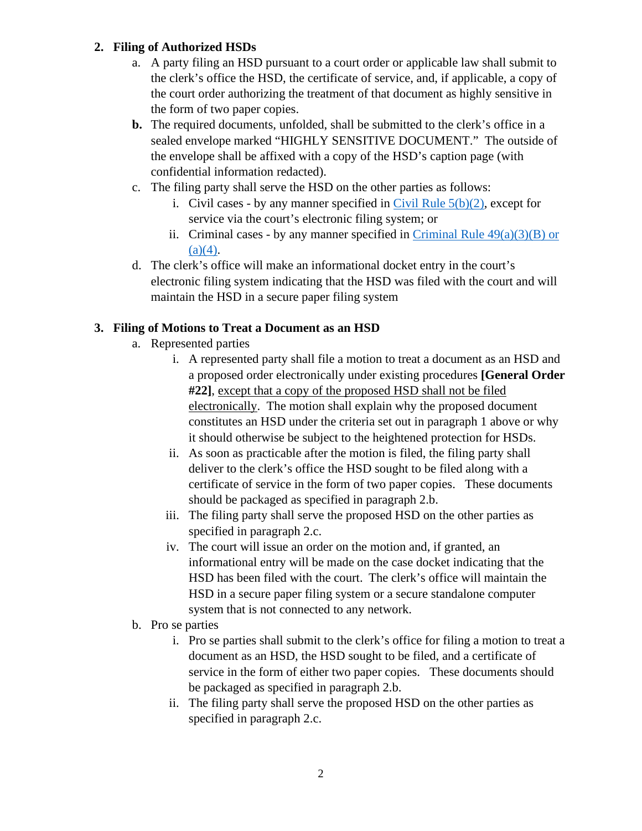#### **2. Filing of Authorized HSDs**

- a. A party filing an HSD pursuant to a court order or applicable law shall submit to the clerk's office the HSD, the certificate of service, and, if applicable, a copy of the court order authorizing the treatment of that document as highly sensitive in the form of two paper copies.
- **b.** The required documents, unfolded, shall be submitted to the clerk's office in a sealed envelope marked "HIGHLY SENSITIVE DOCUMENT." The outside of the envelope shall be affixed with a copy of the HSD's caption page (with confidential information redacted).
- c. The filing party shall serve the HSD on the other parties as follows:
	- i. Civil cases by any manner specified in Civil Rule  $5(b)(2)$ , except for service via the court's electronic filing system; or
	- ii. Criminal cases by any manner specified in Criminal Rule  $49(a)(3)(B)$  or  $(a)(4)$ .
- d. The clerk's office will make an informational docket entry in the court's electronic filing system indicating that the HSD was filed with the court and will maintain the HSD in a secure paper filing system

#### **3. Filing of Motions to Treat a Document as an HSD**

- a. Represented parties
	- i. A represented party shall file a motion to treat a document as an HSD and a proposed order electronically under existing procedures **[General Order #22]**, except that a copy of the proposed HSD shall not be filed electronically. The motion shall explain why the proposed document constitutes an HSD under the criteria set out in paragraph 1 above or why it should otherwise be subject to the heightened protection for HSDs.
	- ii. As soon as practicable after the motion is filed, the filing party shall deliver to the clerk's office the HSD sought to be filed along with a certificate of service in the form of two paper copies. These documents should be packaged as specified in paragraph 2.b.
	- iii. The filing party shall serve the proposed HSD on the other parties as specified in paragraph 2.c.
	- iv. The court will issue an order on the motion and, if granted, an informational entry will be made on the case docket indicating that the HSD has been filed with the court. The clerk's office will maintain the HSD in a secure paper filing system or a secure standalone computer system that is not connected to any network.
- b. Pro se parties
	- i. Pro se parties shall submit to the clerk's office for filing a motion to treat a document as an HSD, the HSD sought to be filed, and a certificate of service in the form of either two paper copies. These documents should be packaged as specified in paragraph 2.b.
	- ii. The filing party shall serve the proposed HSD on the other parties as specified in paragraph 2.c.